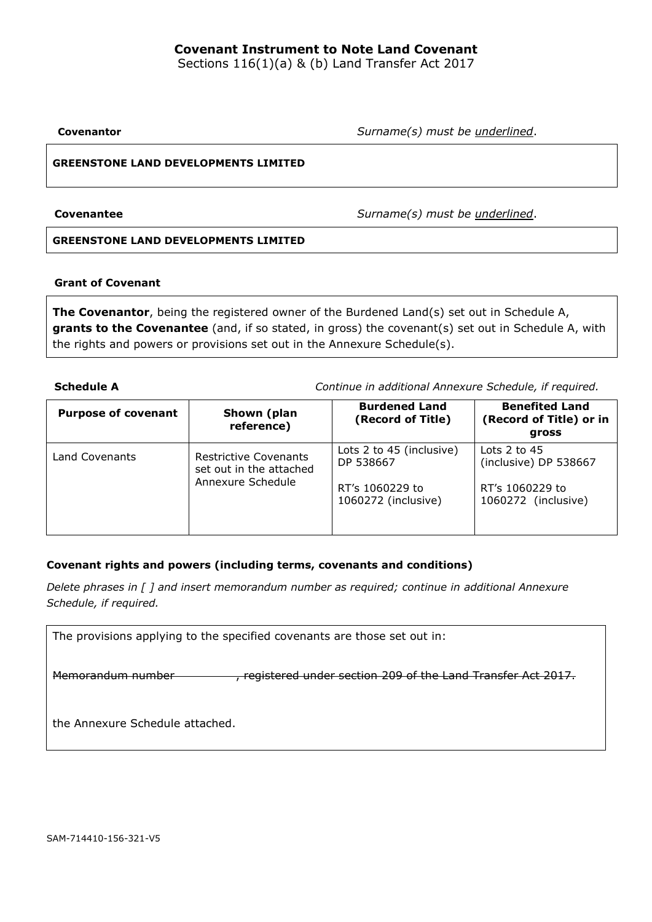# **Covenant Instrument to Note Land Covenant**

Sections 116(1)(a) & (b) Land Transfer Act 2017

**Covenantor** *Surname(s) must be underlined*.

## **GREENSTONE LAND DEVELOPMENTS LIMITED**

**Covenantee** *Surname(s) must be underlined*.

## **GREENSTONE LAND DEVELOPMENTS LIMITED**

## **Grant of Covenant**

**The Covenantor**, being the registered owner of the Burdened Land(s) set out in Schedule A, **grants to the Covenantee** (and, if so stated, in gross) the covenant(s) set out in Schedule A, with the rights and powers or provisions set out in the Annexure Schedule(s).

**Schedule A** *Continue in additional Annexure Schedule, if required.*

| <b>Purpose of covenant</b><br>Shown (plan<br>reference) |                                                         | <b>Burdened Land</b><br>(Record of Title) | <b>Benefited Land</b><br>(Record of Title) or in<br>gross |
|---------------------------------------------------------|---------------------------------------------------------|-------------------------------------------|-----------------------------------------------------------|
| Land Covenants                                          | <b>Restrictive Covenants</b><br>set out in the attached | Lots 2 to 45 (inclusive)<br>DP 538667     | Lots $2$ to $45$<br>(inclusive) DP 538667                 |
|                                                         | Annexure Schedule                                       | RT's 1060229 to<br>1060272 (inclusive)    | RT's 1060229 to<br>1060272 (inclusive)                    |

## **Covenant rights and powers (including terms, covenants and conditions)**

*Delete phrases in [ ] and insert memorandum number as required; continue in additional Annexure Schedule, if required.*

| The provisions applying to the specified covenants are those set out in: |                                                             |  |  |  |  |  |  |  |  |
|--------------------------------------------------------------------------|-------------------------------------------------------------|--|--|--|--|--|--|--|--|
|                                                                          |                                                             |  |  |  |  |  |  |  |  |
| Memorandum number                                                        | registered under section 209 of the Land Transfer Act 2017. |  |  |  |  |  |  |  |  |
|                                                                          |                                                             |  |  |  |  |  |  |  |  |
|                                                                          |                                                             |  |  |  |  |  |  |  |  |
| the Annexure Schedule attached.                                          |                                                             |  |  |  |  |  |  |  |  |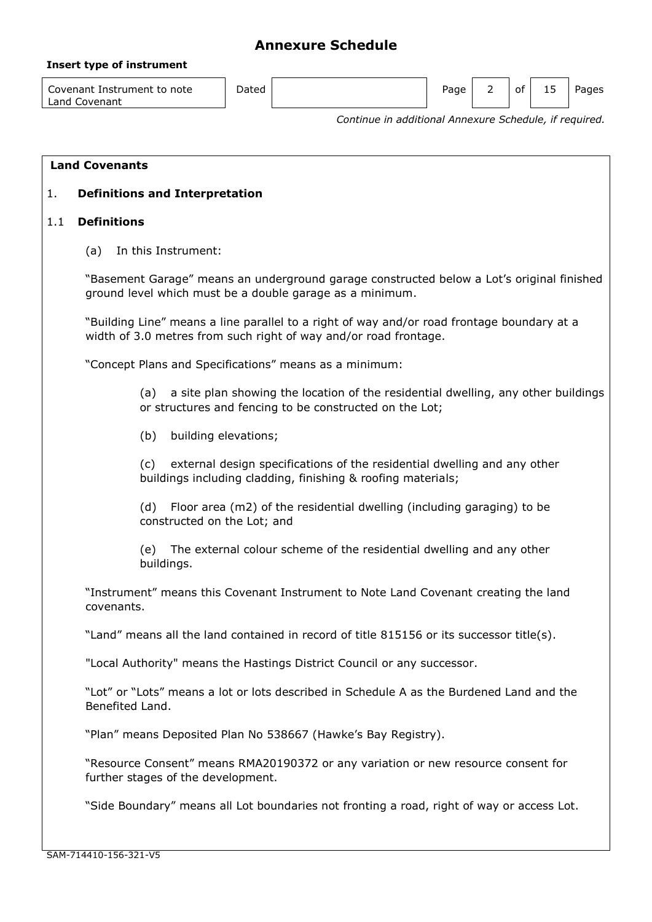## **Insert type of instrument**

Covenant Instrument to note Land Covenant

Dated **Page 2 of 15 Pages** Page 2 of 15 Pages

*Continue in additional Annexure Schedule, if required.*

## **Land Covenants**

## 1. **Definitions and Interpretation**

## 1.1 **Definitions**

(a) In this Instrument:

"Basement Garage" means an underground garage constructed below a Lot's original finished ground level which must be a double garage as a minimum.

"Building Line" means a line parallel to a right of way and/or road frontage boundary at a width of 3.0 metres from such right of way and/or road frontage.

"Concept Plans and Specifications" means as a minimum:

(a) a site plan showing the location of the residential dwelling, any other buildings or structures and fencing to be constructed on the Lot;

(b) building elevations;

(c) external design specifications of the residential dwelling and any other buildings including cladding, finishing & roofing materials;

(d) Floor area (m2) of the residential dwelling (including garaging) to be constructed on the Lot; and

(e) The external colour scheme of the residential dwelling and any other buildings.

"Instrument" means this Covenant Instrument to Note Land Covenant creating the land covenants.

"Land" means all the land contained in record of title 815156 or its successor title(s).

"Local Authority" means the Hastings District Council or any successor.

"Lot" or "Lots" means a lot or lots described in Schedule A as the Burdened Land and the Benefited Land.

"Plan" means Deposited Plan No 538667 (Hawke's Bay Registry).

"Resource Consent" means RMA20190372 or any variation or new resource consent for further stages of the development.

"Side Boundary" means all Lot boundaries not fronting a road, right of way or access Lot.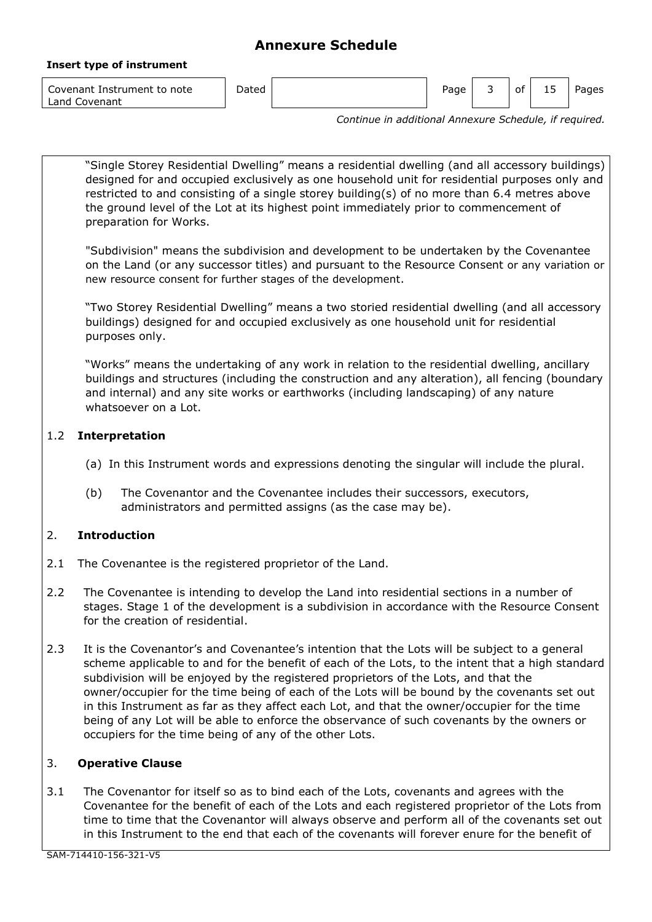### **Insert type of instrument**

Covenant Instrument to note Land Covenant

Dated **Page 3** of 15 Pages 2 of 15 Pages

*Continue in additional Annexure Schedule, if required.*

"Single Storey Residential Dwelling" means a residential dwelling (and all accessory buildings) designed for and occupied exclusively as one household unit for residential purposes only and restricted to and consisting of a single storey building(s) of no more than 6.4 metres above the ground level of the Lot at its highest point immediately prior to commencement of preparation for Works.

"Subdivision" means the subdivision and development to be undertaken by the Covenantee on the Land (or any successor titles) and pursuant to the Resource Consent or any variation or new resource consent for further stages of the development.

"Two Storey Residential Dwelling" means a two storied residential dwelling (and all accessory buildings) designed for and occupied exclusively as one household unit for residential purposes only.

"Works" means the undertaking of any work in relation to the residential dwelling, ancillary buildings and structures (including the construction and any alteration), all fencing (boundary and internal) and any site works or earthworks (including landscaping) of any nature whatsoever on a Lot.

# 1.2 **Interpretation**

- (a) In this Instrument words and expressions denoting the singular will include the plural.
- (b) The Covenantor and the Covenantee includes their successors, executors, administrators and permitted assigns (as the case may be).

# 2. **Introduction**

- 2.1 The Covenantee is the registered proprietor of the Land.
- 2.2 The Covenantee is intending to develop the Land into residential sections in a number of stages. Stage 1 of the development is a subdivision in accordance with the Resource Consent for the creation of residential.
- 2.3 It is the Covenantor's and Covenantee's intention that the Lots will be subject to a general scheme applicable to and for the benefit of each of the Lots, to the intent that a high standard subdivision will be enjoyed by the registered proprietors of the Lots, and that the owner/occupier for the time being of each of the Lots will be bound by the covenants set out in this Instrument as far as they affect each Lot, and that the owner/occupier for the time being of any Lot will be able to enforce the observance of such covenants by the owners or occupiers for the time being of any of the other Lots.

## 3. **Operative Clause**

3.1 The Covenantor for itself so as to bind each of the Lots, covenants and agrees with the Covenantee for the benefit of each of the Lots and each registered proprietor of the Lots from time to time that the Covenantor will always observe and perform all of the covenants set out in this Instrument to the end that each of the covenants will forever enure for the benefit of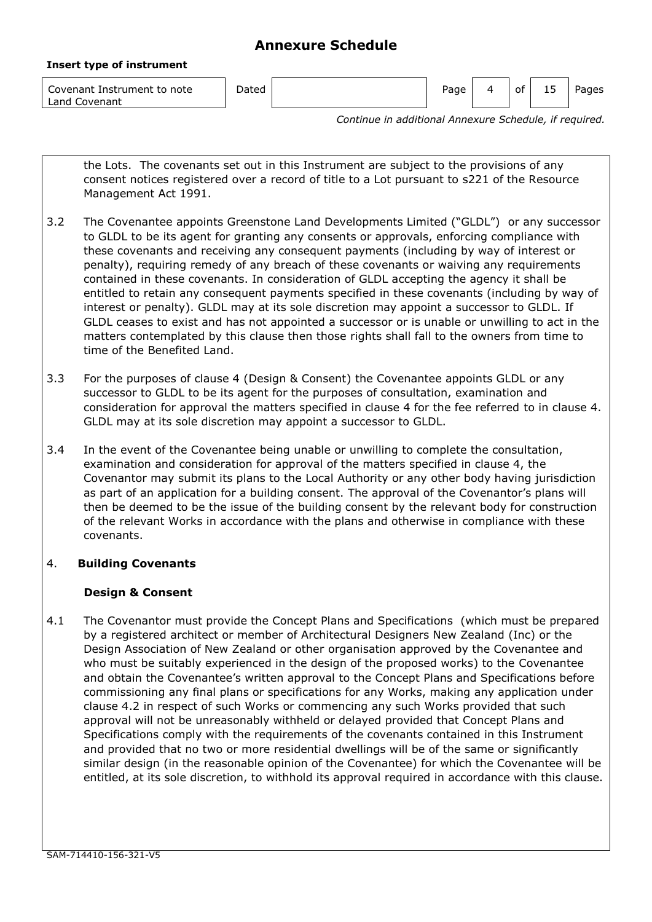| Covenant Instrument to note<br>Land Covenant | Dated | Page | οt | 15 | Pages |
|----------------------------------------------|-------|------|----|----|-------|
|                                              |       |      |    |    |       |

*Continue in additional Annexure Schedule, if required.*

the Lots. The covenants set out in this Instrument are subject to the provisions of any consent notices registered over a record of title to a Lot pursuant to s221 of the Resource Management Act 1991.

- 3.2 The Covenantee appoints Greenstone Land Developments Limited ("GLDL") or any successor to GLDL to be its agent for granting any consents or approvals, enforcing compliance with these covenants and receiving any consequent payments (including by way of interest or penalty), requiring remedy of any breach of these covenants or waiving any requirements contained in these covenants. In consideration of GLDL accepting the agency it shall be entitled to retain any consequent payments specified in these covenants (including by way of interest or penalty). GLDL may at its sole discretion may appoint a successor to GLDL. If GLDL ceases to exist and has not appointed a successor or is unable or unwilling to act in the matters contemplated by this clause then those rights shall fall to the owners from time to time of the Benefited Land.
- 3.3 For the purposes of clause 4 (Design & Consent) the Covenantee appoints GLDL or any successor to GLDL to be its agent for the purposes of consultation, examination and consideration for approval the matters specified in clause 4 for the fee referred to in clause 4. GLDL may at its sole discretion may appoint a successor to GLDL.
- 3.4 In the event of the Covenantee being unable or unwilling to complete the consultation, examination and consideration for approval of the matters specified in clause 4, the Covenantor may submit its plans to the Local Authority or any other body having jurisdiction as part of an application for a building consent. The approval of the Covenantor's plans will then be deemed to be the issue of the building consent by the relevant body for construction of the relevant Works in accordance with the plans and otherwise in compliance with these covenants.

## 4. **Building Covenants**

**Insert type of instrument**

## **Design & Consent**

4.1 The Covenantor must provide the Concept Plans and Specifications (which must be prepared by a registered architect or member of Architectural Designers New Zealand (Inc) or the Design Association of New Zealand or other organisation approved by the Covenantee and who must be suitably experienced in the design of the proposed works) to the Covenantee and obtain the Covenantee's written approval to the Concept Plans and Specifications before commissioning any final plans or specifications for any Works, making any application under clause 4.2 in respect of such Works or commencing any such Works provided that such approval will not be unreasonably withheld or delayed provided that Concept Plans and Specifications comply with the requirements of the covenants contained in this Instrument and provided that no two or more residential dwellings will be of the same or significantly similar design (in the reasonable opinion of the Covenantee) for which the Covenantee will be entitled, at its sole discretion, to withhold its approval required in accordance with this clause.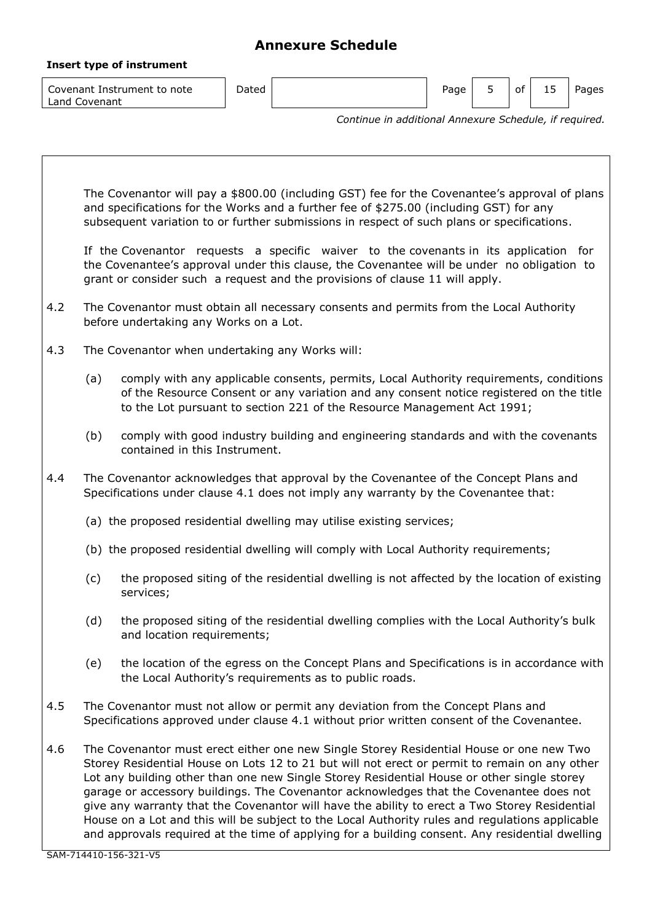| Insert type of instrument                    |                                                        |  |      |  |    |    |       |  |
|----------------------------------------------|--------------------------------------------------------|--|------|--|----|----|-------|--|
| Covenant Instrument to note<br>Land Covenant | Dated                                                  |  | Page |  | of | 15 | Pages |  |
|                                              | Continue in additional Annexure Schedule, if required. |  |      |  |    |    |       |  |

|     | The Covenantor will pay a \$800.00 (including GST) fee for the Covenantee's approval of plans<br>and specifications for the Works and a further fee of \$275.00 (including GST) for any<br>subsequent variation to or further submissions in respect of such plans or specifications.                                                                                                                                                                                                                                                                                                                                                                                                    |  |
|-----|------------------------------------------------------------------------------------------------------------------------------------------------------------------------------------------------------------------------------------------------------------------------------------------------------------------------------------------------------------------------------------------------------------------------------------------------------------------------------------------------------------------------------------------------------------------------------------------------------------------------------------------------------------------------------------------|--|
|     | If the Covenantor requests a specific waiver to the covenants in its application for<br>the Covenantee's approval under this clause, the Covenantee will be under no obligation to<br>grant or consider such a request and the provisions of clause 11 will apply.                                                                                                                                                                                                                                                                                                                                                                                                                       |  |
| 4.2 | The Covenantor must obtain all necessary consents and permits from the Local Authority<br>before undertaking any Works on a Lot.                                                                                                                                                                                                                                                                                                                                                                                                                                                                                                                                                         |  |
| 4.3 | The Covenantor when undertaking any Works will:                                                                                                                                                                                                                                                                                                                                                                                                                                                                                                                                                                                                                                          |  |
|     | comply with any applicable consents, permits, Local Authority requirements, conditions<br>(a)<br>of the Resource Consent or any variation and any consent notice registered on the title<br>to the Lot pursuant to section 221 of the Resource Management Act 1991;                                                                                                                                                                                                                                                                                                                                                                                                                      |  |
|     | comply with good industry building and engineering standards and with the covenants<br>(b)<br>contained in this Instrument.                                                                                                                                                                                                                                                                                                                                                                                                                                                                                                                                                              |  |
| 4.4 | The Covenantor acknowledges that approval by the Covenantee of the Concept Plans and<br>Specifications under clause 4.1 does not imply any warranty by the Covenantee that:                                                                                                                                                                                                                                                                                                                                                                                                                                                                                                              |  |
|     | (a) the proposed residential dwelling may utilise existing services;                                                                                                                                                                                                                                                                                                                                                                                                                                                                                                                                                                                                                     |  |
|     | (b) the proposed residential dwelling will comply with Local Authority requirements;                                                                                                                                                                                                                                                                                                                                                                                                                                                                                                                                                                                                     |  |
|     | the proposed siting of the residential dwelling is not affected by the location of existing<br>(c)<br>services;                                                                                                                                                                                                                                                                                                                                                                                                                                                                                                                                                                          |  |
|     | the proposed siting of the residential dwelling complies with the Local Authority's bulk<br>(d)<br>and location requirements;                                                                                                                                                                                                                                                                                                                                                                                                                                                                                                                                                            |  |
|     | (e) the location of the egress on the Concept Plans and Specifications is in accordance with<br>the Local Authority's requirements as to public roads.                                                                                                                                                                                                                                                                                                                                                                                                                                                                                                                                   |  |
| 4.5 | The Covenantor must not allow or permit any deviation from the Concept Plans and<br>Specifications approved under clause 4.1 without prior written consent of the Covenantee.                                                                                                                                                                                                                                                                                                                                                                                                                                                                                                            |  |
| 4.6 | The Covenantor must erect either one new Single Storey Residential House or one new Two<br>Storey Residential House on Lots 12 to 21 but will not erect or permit to remain on any other<br>Lot any building other than one new Single Storey Residential House or other single storey<br>garage or accessory buildings. The Covenantor acknowledges that the Covenantee does not<br>give any warranty that the Covenantor will have the ability to erect a Two Storey Residential<br>House on a Lot and this will be subject to the Local Authority rules and regulations applicable<br>and approvals required at the time of applying for a building consent. Any residential dwelling |  |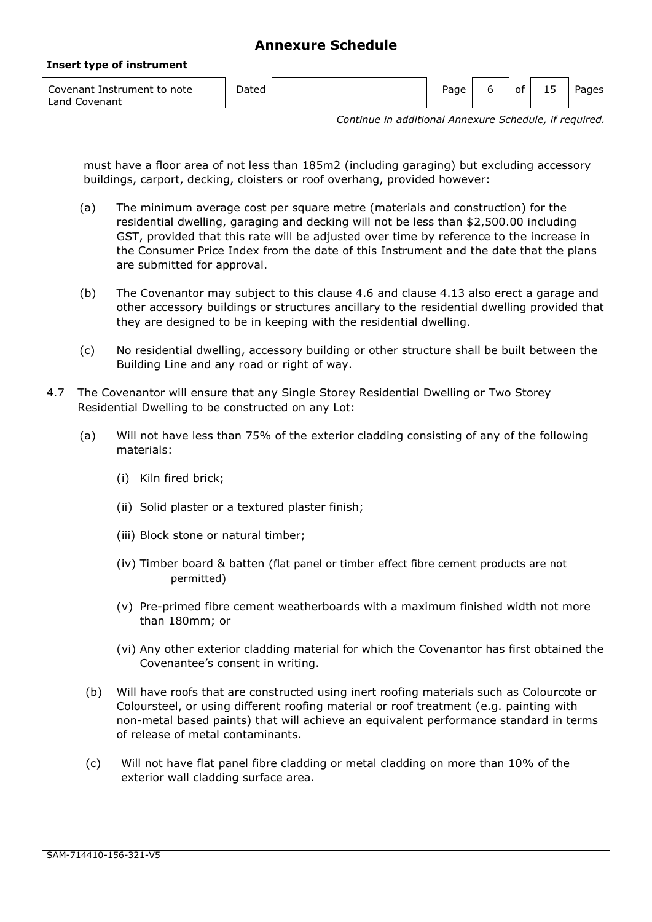| Covenant Instrument to note<br>Land Covenant | ⊃ated | Page | 0t | 15 | Pages |
|----------------------------------------------|-------|------|----|----|-------|

*Continue in additional Annexure Schedule, if required.*

must have a floor area of not less than 185m2 (including garaging) but excluding accessory buildings, carport, decking, cloisters or roof overhang, provided however: (a) The minimum average cost per square metre (materials and construction) for the residential dwelling, garaging and decking will not be less than \$2,500.00 including GST, provided that this rate will be adjusted over time by reference to the increase in the Consumer Price Index from the date of this Instrument and the date that the plans are submitted for approval. (b) The Covenantor may subject to this clause 4.6 and clause 4.13 also erect a garage and other accessory buildings or structures ancillary to the residential dwelling provided that they are designed to be in keeping with the residential dwelling. (c) No residential dwelling, accessory building or other structure shall be built between the Building Line and any road or right of way. 4.7 The Covenantor will ensure that any Single Storey Residential Dwelling or Two Storey Residential Dwelling to be constructed on any Lot: (a) Will not have less than 75% of the exterior cladding consisting of any of the following materials: (i) Kiln fired brick; (ii) Solid plaster or a textured plaster finish; (iii) Block stone or natural timber; (iv) Timber board & batten (flat panel or timber effect fibre cement products are not permitted) (v) Pre-primed fibre cement weatherboards with a maximum finished width not more than 180mm; or (vi) Any other exterior cladding material for which the Covenantor has first obtained the Covenantee's consent in writing. (b) Will have roofs that are constructed using inert roofing materials such as Colourcote or Coloursteel, or using different roofing material or roof treatment (e.g. painting with non-metal based paints) that will achieve an equivalent performance standard in terms of release of metal contaminants. (c) Will not have flat panel fibre cladding or metal cladding on more than 10% of the exterior wall cladding surface area.

**Insert type of instrument**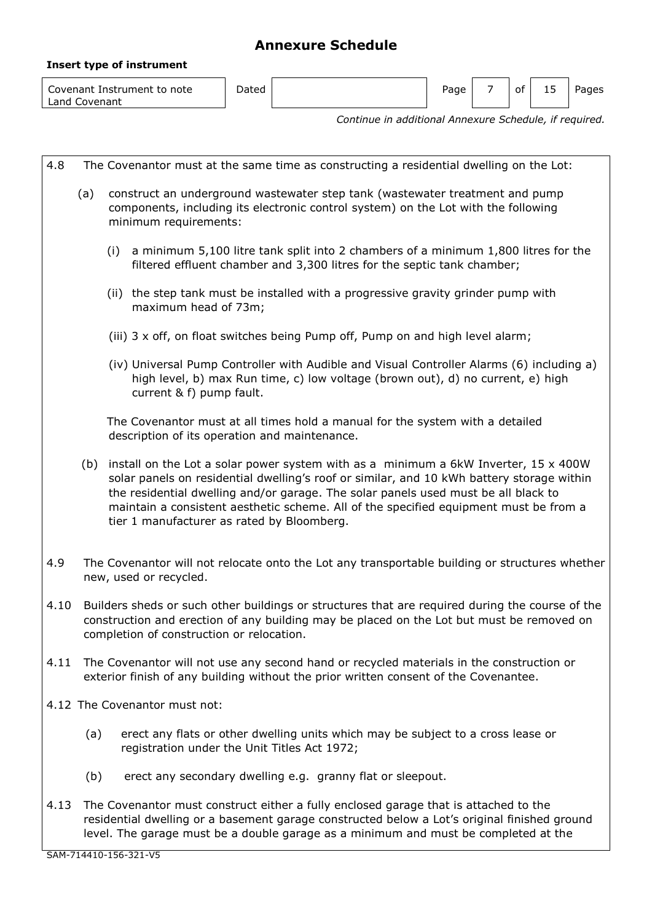| Insert type of instrument |  |
|---------------------------|--|
|---------------------------|--|

| Covenant Instrument to note<br>Land Covenant | Dated |  | Page |  | ot | -- | Pages |
|----------------------------------------------|-------|--|------|--|----|----|-------|
|----------------------------------------------|-------|--|------|--|----|----|-------|

*Continue in additional Annexure Schedule, if required.*

| 4.8  |                                                                                                                                                                                                                                                                                                                                                                                                                             | The Covenantor must at the same time as constructing a residential dwelling on the Lot:                                                                                                                                                                                     |  |  |  |  |  |  |
|------|-----------------------------------------------------------------------------------------------------------------------------------------------------------------------------------------------------------------------------------------------------------------------------------------------------------------------------------------------------------------------------------------------------------------------------|-----------------------------------------------------------------------------------------------------------------------------------------------------------------------------------------------------------------------------------------------------------------------------|--|--|--|--|--|--|
|      | (a)                                                                                                                                                                                                                                                                                                                                                                                                                         | construct an underground wastewater step tank (wastewater treatment and pump<br>components, including its electronic control system) on the Lot with the following<br>minimum requirements:                                                                                 |  |  |  |  |  |  |
|      |                                                                                                                                                                                                                                                                                                                                                                                                                             | a minimum 5,100 litre tank split into 2 chambers of a minimum 1,800 litres for the<br>(i)<br>filtered effluent chamber and 3,300 litres for the septic tank chamber;                                                                                                        |  |  |  |  |  |  |
|      |                                                                                                                                                                                                                                                                                                                                                                                                                             | (ii) the step tank must be installed with a progressive gravity grinder pump with<br>maximum head of 73m;                                                                                                                                                                   |  |  |  |  |  |  |
|      |                                                                                                                                                                                                                                                                                                                                                                                                                             | (iii) 3 x off, on float switches being Pump off, Pump on and high level alarm;                                                                                                                                                                                              |  |  |  |  |  |  |
|      |                                                                                                                                                                                                                                                                                                                                                                                                                             | (iv) Universal Pump Controller with Audible and Visual Controller Alarms (6) including a)<br>high level, b) max Run time, c) low voltage (brown out), d) no current, e) high<br>current & f) pump fault.                                                                    |  |  |  |  |  |  |
|      |                                                                                                                                                                                                                                                                                                                                                                                                                             | The Covenantor must at all times hold a manual for the system with a detailed<br>description of its operation and maintenance.                                                                                                                                              |  |  |  |  |  |  |
|      | install on the Lot a solar power system with as a minimum a 6kW Inverter, $15 \times 400W$<br>(b)<br>solar panels on residential dwelling's roof or similar, and 10 kWh battery storage within<br>the residential dwelling and/or garage. The solar panels used must be all black to<br>maintain a consistent aesthetic scheme. All of the specified equipment must be from a<br>tier 1 manufacturer as rated by Bloomberg. |                                                                                                                                                                                                                                                                             |  |  |  |  |  |  |
| 4.9  |                                                                                                                                                                                                                                                                                                                                                                                                                             | The Covenantor will not relocate onto the Lot any transportable building or structures whether<br>new, used or recycled.                                                                                                                                                    |  |  |  |  |  |  |
| 4.10 |                                                                                                                                                                                                                                                                                                                                                                                                                             | Builders sheds or such other buildings or structures that are required during the course of the<br>construction and erection of any building may be placed on the Lot but must be removed on<br>completion of construction or relocation.                                   |  |  |  |  |  |  |
| 4.11 |                                                                                                                                                                                                                                                                                                                                                                                                                             | The Covenantor will not use any second hand or recycled materials in the construction or<br>exterior finish of any building without the prior written consent of the Covenantee.                                                                                            |  |  |  |  |  |  |
|      |                                                                                                                                                                                                                                                                                                                                                                                                                             | 4.12 The Covenantor must not:                                                                                                                                                                                                                                               |  |  |  |  |  |  |
|      | (a)                                                                                                                                                                                                                                                                                                                                                                                                                         | erect any flats or other dwelling units which may be subject to a cross lease or<br>registration under the Unit Titles Act 1972;                                                                                                                                            |  |  |  |  |  |  |
|      | (b)                                                                                                                                                                                                                                                                                                                                                                                                                         | erect any secondary dwelling e.g. granny flat or sleepout.                                                                                                                                                                                                                  |  |  |  |  |  |  |
| 4.13 |                                                                                                                                                                                                                                                                                                                                                                                                                             | The Covenantor must construct either a fully enclosed garage that is attached to the<br>residential dwelling or a basement garage constructed below a Lot's original finished ground<br>level. The garage must be a double garage as a minimum and must be completed at the |  |  |  |  |  |  |
|      |                                                                                                                                                                                                                                                                                                                                                                                                                             | SAM-714410-156-321-V5                                                                                                                                                                                                                                                       |  |  |  |  |  |  |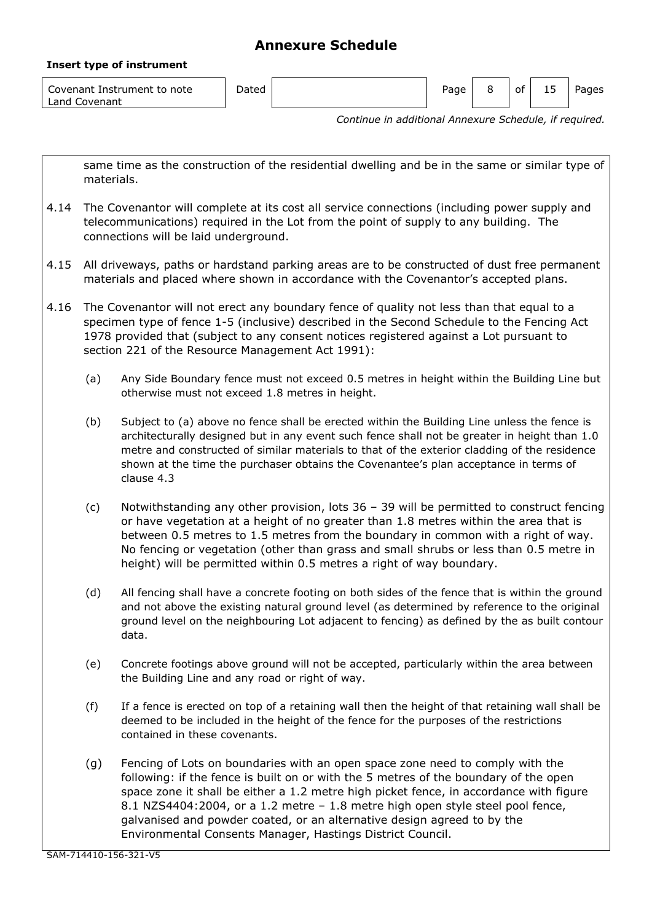| Covenant Instrument to note<br>$L$ and $\Gamma$<br>Covenant | Dated | Page | οt | ל 1 | Pages |
|-------------------------------------------------------------|-------|------|----|-----|-------|

*Continue in additional Annexure Schedule, if required.*

same time as the construction of the residential dwelling and be in the same or similar type of materials.

- 4.14 The Covenantor will complete at its cost all service connections (including power supply and telecommunications) required in the Lot from the point of supply to any building. The connections will be laid underground.
- 4.15 All driveways, paths or hardstand parking areas are to be constructed of dust free permanent materials and placed where shown in accordance with the Covenantor's accepted plans.
- 4.16 The Covenantor will not erect any boundary fence of quality not less than that equal to a specimen type of fence 1-5 (inclusive) described in the Second Schedule to the Fencing Act 1978 provided that (subject to any consent notices registered against a Lot pursuant to section 221 of the Resource Management Act 1991):
	- (a) Any Side Boundary fence must not exceed 0.5 metres in height within the Building Line but otherwise must not exceed 1.8 metres in height.
	- (b) Subject to (a) above no fence shall be erected within the Building Line unless the fence is architecturally designed but in any event such fence shall not be greater in height than 1.0 metre and constructed of similar materials to that of the exterior cladding of the residence shown at the time the purchaser obtains the Covenantee's plan acceptance in terms of clause 4.3
	- (c) Notwithstanding any other provision, lots 36 39 will be permitted to construct fencing or have vegetation at a height of no greater than 1.8 metres within the area that is between 0.5 metres to 1.5 metres from the boundary in common with a right of way. No fencing or vegetation (other than grass and small shrubs or less than 0.5 metre in height) will be permitted within 0.5 metres a right of way boundary.
	- (d) All fencing shall have a concrete footing on both sides of the fence that is within the ground and not above the existing natural ground level (as determined by reference to the original ground level on the neighbouring Lot adjacent to fencing) as defined by the as built contour data.
	- (e) Concrete footings above ground will not be accepted, particularly within the area between the Building Line and any road or right of way.
	- (f) If a fence is erected on top of a retaining wall then the height of that retaining wall shall be deemed to be included in the height of the fence for the purposes of the restrictions contained in these covenants.
	- (g) Fencing of Lots on boundaries with an open space zone need to comply with the following: if the fence is built on or with the 5 metres of the boundary of the open space zone it shall be either a 1.2 metre high picket fence, in accordance with figure 8.1 NZS4404:2004, or a 1.2 metre – 1.8 metre high open style steel pool fence, galvanised and powder coated, or an alternative design agreed to by the Environmental Consents Manager, Hastings District Council.

**Insert type of instrument**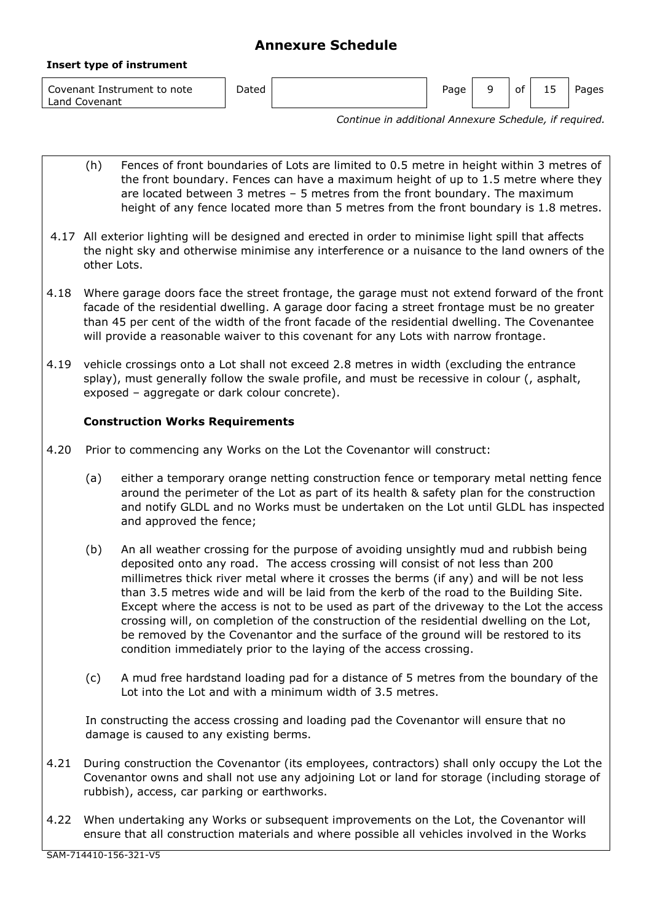**Insert type of instrument**

Covenant Instrument to note Land Covenant

Dated **Page 1 of 15 Pages** Page 1 Pages Pages Pages Pages Pages Pages Pages

*Continue in additional Annexure Schedule, if required.*

- (h) Fences of front boundaries of Lots are limited to 0.5 metre in height within 3 metres of the front boundary. Fences can have a maximum height of up to 1.5 metre where they are located between 3 metres – 5 metres from the front boundary. The maximum height of any fence located more than 5 metres from the front boundary is 1.8 metres.
- 4.17 All exterior lighting will be designed and erected in order to minimise light spill that affects the night sky and otherwise minimise any interference or a nuisance to the land owners of the other Lots.
- 4.18 Where garage doors face the street frontage, the garage must not extend forward of the front facade of the residential dwelling. A garage door facing a street frontage must be no greater than 45 per cent of the width of the front facade of the residential dwelling. The Covenantee will provide a reasonable waiver to this covenant for any Lots with narrow frontage.
- 4.19 vehicle crossings onto a Lot shall not exceed 2.8 metres in width (excluding the entrance splay), must generally follow the swale profile, and must be recessive in colour (, asphalt, exposed – aggregate or dark colour concrete).

# **Construction Works Requirements**

- 4.20 Prior to commencing any Works on the Lot the Covenantor will construct:
	- (a) either a temporary orange netting construction fence or temporary metal netting fence around the perimeter of the Lot as part of its health & safety plan for the construction and notify GLDL and no Works must be undertaken on the Lot until GLDL has inspected and approved the fence;
	- (b) An all weather crossing for the purpose of avoiding unsightly mud and rubbish being deposited onto any road. The access crossing will consist of not less than 200 millimetres thick river metal where it crosses the berms (if any) and will be not less than 3.5 metres wide and will be laid from the kerb of the road to the Building Site. Except where the access is not to be used as part of the driveway to the Lot the access crossing will, on completion of the construction of the residential dwelling on the Lot, be removed by the Covenantor and the surface of the ground will be restored to its condition immediately prior to the laying of the access crossing.
	- (c) A mud free hardstand loading pad for a distance of 5 metres from the boundary of the Lot into the Lot and with a minimum width of 3.5 metres.

In constructing the access crossing and loading pad the Covenantor will ensure that no damage is caused to any existing berms.

- 4.21 During construction the Covenantor (its employees, contractors) shall only occupy the Lot the Covenantor owns and shall not use any adjoining Lot or land for storage (including storage of rubbish), access, car parking or earthworks.
- 4.22 When undertaking any Works or subsequent improvements on the Lot, the Covenantor will ensure that all construction materials and where possible all vehicles involved in the Works

SAM-714410-156-321-V5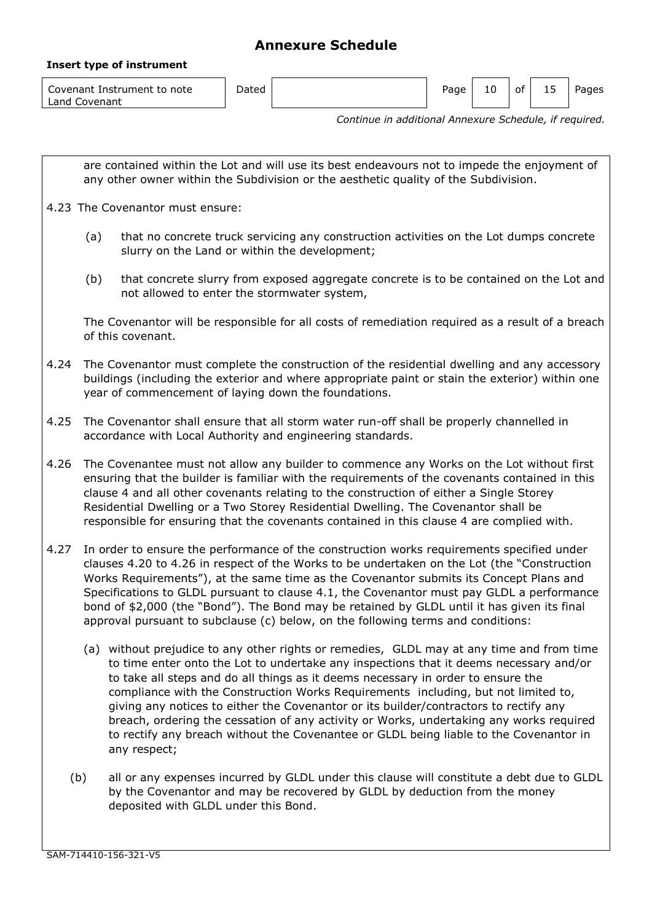### **Insert type of instrument**

| Covenant Instrument to note<br>Land Covenant | Dated |  | Page | 10 | ot | -- | Pages |
|----------------------------------------------|-------|--|------|----|----|----|-------|
|----------------------------------------------|-------|--|------|----|----|----|-------|

*Continue in additional Annexure Schedule, if required.*

are contained within the Lot and will use its best endeavours not to impede the enjoyment of any other owner within the Subdivision or the aesthetic quality of the Subdivision. 4.23 The Covenantor must ensure: (a) that no concrete truck servicing any construction activities on the Lot dumps concrete slurry on the Land or within the development; (b) that concrete slurry from exposed aggregate concrete is to be contained on the Lot and not allowed to enter the stormwater system, The Covenantor will be responsible for all costs of remediation required as a result of a breach of this covenant. 4.24 The Covenantor must complete the construction of the residential dwelling and any accessory buildings (including the exterior and where appropriate paint or stain the exterior) within one year of commencement of laying down the foundations. 4.25 The Covenantor shall ensure that all storm water run-off shall be properly channelled in accordance with Local Authority and engineering standards. 4.26 The Covenantee must not allow any builder to commence any Works on the Lot without first ensuring that the builder is familiar with the requirements of the covenants contained in this clause 4 and all other covenants relating to the construction of either a Single Storey Residential Dwelling or a Two Storey Residential Dwelling. The Covenantor shall be responsible for ensuring that the covenants contained in this clause 4 are complied with. 4.27 In order to ensure the performance of the construction works requirements specified under clauses 4.20 to 4.26 in respect of the Works to be undertaken on the Lot (the "Construction Works Requirements"), at the same time as the Covenantor submits its Concept Plans and Specifications to GLDL pursuant to clause 4.1, the Covenantor must pay GLDL a performance bond of \$2,000 (the "Bond"). The Bond may be retained by GLDL until it has given its final approval pursuant to subclause (c) below, on the following terms and conditions: (a) without prejudice to any other rights or remedies, GLDL may at any time and from time to time enter onto the Lot to undertake any inspections that it deems necessary and/or to take all steps and do all things as it deems necessary in order to ensure the compliance with the Construction Works Requirements including, but not limited to, giving any notices to either the Covenantor or its builder/contractors to rectify any breach, ordering the cessation of any activity or Works, undertaking any works required to rectify any breach without the Covenantee or GLDL being liable to the Covenantor in any respect; (b) all or any expenses incurred by GLDL under this clause will constitute a debt due to GLDL by the Covenantor and may be recovered by GLDL by deduction from the money deposited with GLDL under this Bond.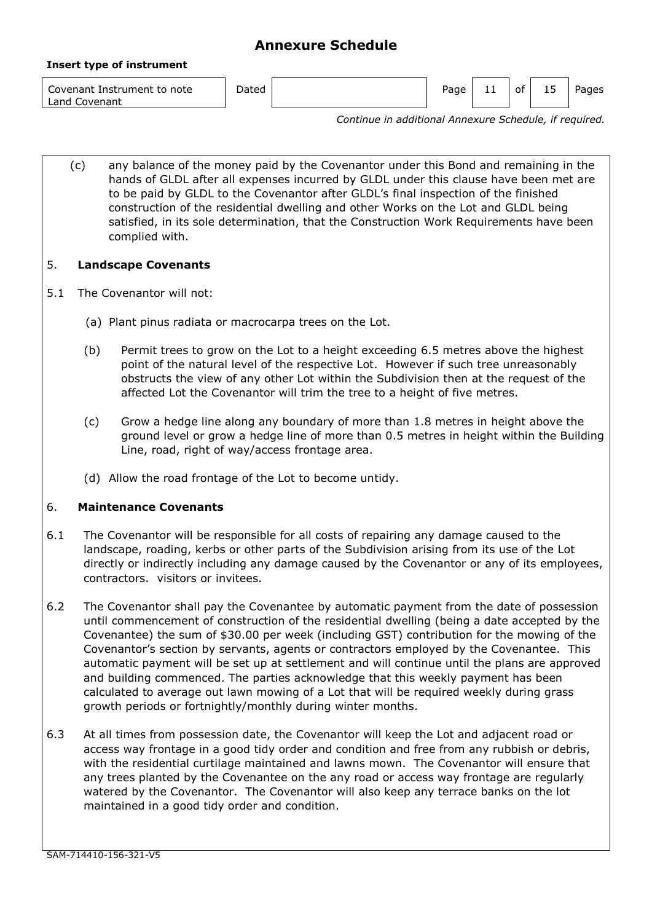**Insert type of instrument**

Covenant Instrument to note Land Covenant

Dated **Page 11** Of 15 Pages

*Continue in additional Annexure Schedule, if required.*

(c) any balance of the money paid by the Covenantor under this Bond and remaining in the hands of GLDL after all expenses incurred by GLDL under this clause have been met are to be paid by GLDL to the Covenantor after GLDL's final inspection of the finished construction of the residential dwelling and other Works on the Lot and GLDL being satisfied, in its sole determination, that the Construction Work Requirements have been complied with.

# 5. **Landscape Covenants**

- 5.1 The Covenantor will not:
	- (a) Plant pinus radiata or macrocarpa trees on the Lot.
	- (b) Permit trees to grow on the Lot to a height exceeding 6.5 metres above the highest point of the natural level of the respective Lot. However if such tree unreasonably obstructs the view of any other Lot within the Subdivision then at the request of the affected Lot the Covenantor will trim the tree to a height of five metres.
	- (c) Grow a hedge line along any boundary of more than 1.8 metres in height above the ground level or grow a hedge line of more than 0.5 metres in height within the Building Line, road, right of way/access frontage area.
	- (d) Allow the road frontage of the Lot to become untidy.

# 6. **Maintenance Covenants**

- 6.1 The Covenantor will be responsible for all costs of repairing any damage caused to the landscape, roading, kerbs or other parts of the Subdivision arising from its use of the Lot directly or indirectly including any damage caused by the Covenantor or any of its employees, contractors. visitors or invitees.
- 6.2 The Covenantor shall pay the Covenantee by automatic payment from the date of possession until commencement of construction of the residential dwelling (being a date accepted by the Covenantee) the sum of \$30.00 per week (including GST) contribution for the mowing of the Covenantor's section by servants, agents or contractors employed by the Covenantee. This automatic payment will be set up at settlement and will continue until the plans are approved and building commenced. The parties acknowledge that this weekly payment has been calculated to average out lawn mowing of a Lot that will be required weekly during grass growth periods or fortnightly/monthly during winter months.
- 6.3 At all times from possession date, the Covenantor will keep the Lot and adjacent road or access way frontage in a good tidy order and condition and free from any rubbish or debris, with the residential curtilage maintained and lawns mown. The Covenantor will ensure that any trees planted by the Covenantee on the any road or access way frontage are regularly watered by the Covenantor. The Covenantor will also keep any terrace banks on the lot maintained in a good tidy order and condition.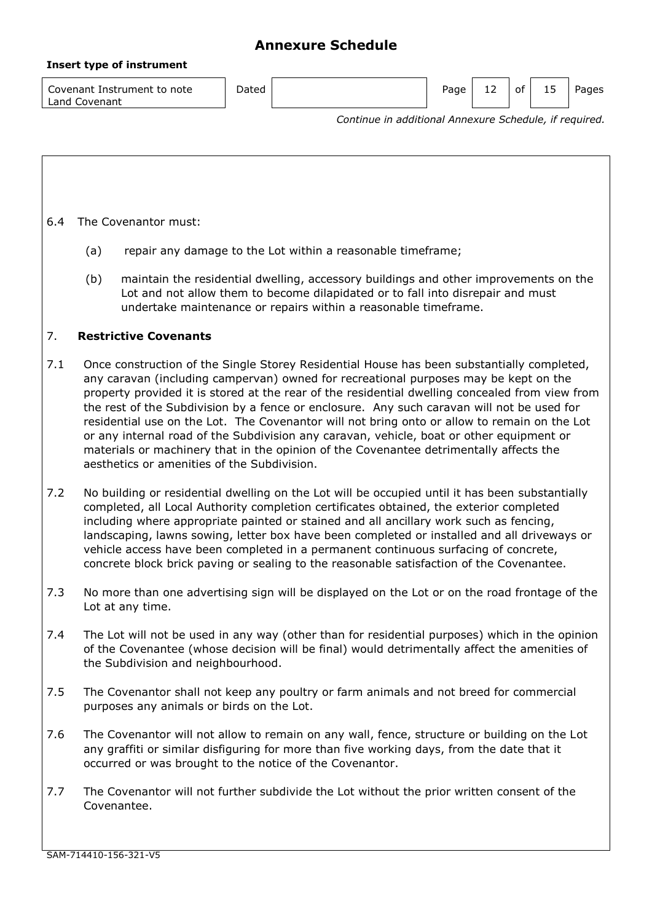#### **Insert type of instrument**

| Covenant Instrument to note | Dated | Page | ∸∸ | - ot | ∸ → | Pages |
|-----------------------------|-------|------|----|------|-----|-------|
| Land Covenant               |       |      |    |      |     |       |

*Continue in additional Annexure Schedule, if required.*

6.4 The Covenantor must:

- (a) repair any damage to the Lot within a reasonable timeframe;
- (b) maintain the residential dwelling, accessory buildings and other improvements on the Lot and not allow them to become dilapidated or to fall into disrepair and must undertake maintenance or repairs within a reasonable timeframe.

## 7. **Restrictive Covenants**

- 7.1 Once construction of the Single Storey Residential House has been substantially completed, any caravan (including campervan) owned for recreational purposes may be kept on the property provided it is stored at the rear of the residential dwelling concealed from view from the rest of the Subdivision by a fence or enclosure. Any such caravan will not be used for residential use on the Lot. The Covenantor will not bring onto or allow to remain on the Lot or any internal road of the Subdivision any caravan, vehicle, boat or other equipment or materials or machinery that in the opinion of the Covenantee detrimentally affects the aesthetics or amenities of the Subdivision.
- 7.2 No building or residential dwelling on the Lot will be occupied until it has been substantially completed, all Local Authority completion certificates obtained, the exterior completed including where appropriate painted or stained and all ancillary work such as fencing, landscaping, lawns sowing, letter box have been completed or installed and all driveways or vehicle access have been completed in a permanent continuous surfacing of concrete, concrete block brick paving or sealing to the reasonable satisfaction of the Covenantee.
- 7.3 No more than one advertising sign will be displayed on the Lot or on the road frontage of the Lot at any time.
- 7.4 The Lot will not be used in any way (other than for residential purposes) which in the opinion of the Covenantee (whose decision will be final) would detrimentally affect the amenities of the Subdivision and neighbourhood.
- 7.5 The Covenantor shall not keep any poultry or farm animals and not breed for commercial purposes any animals or birds on the Lot.
- 7.6 The Covenantor will not allow to remain on any wall, fence, structure or building on the Lot any graffiti or similar disfiguring for more than five working days, from the date that it occurred or was brought to the notice of the Covenantor.
- 7.7 The Covenantor will not further subdivide the Lot without the prior written consent of the Covenantee.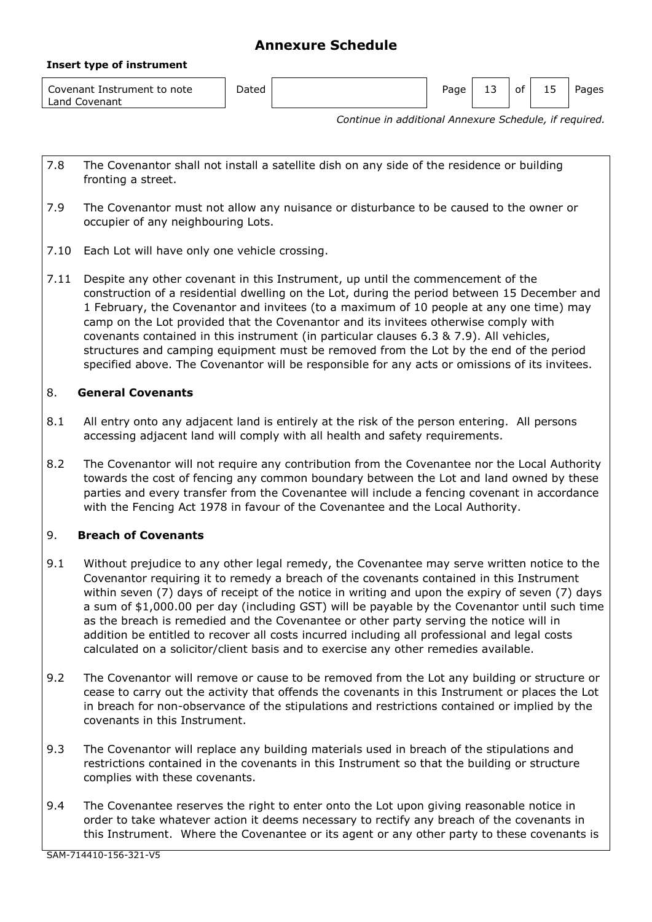| Covenant Instrument to note<br>Land Covenant | Dated | Page | -- | 0t | ∸ → | Pages |
|----------------------------------------------|-------|------|----|----|-----|-------|

*Continue in additional Annexure Schedule, if required.*

- 7.8 The Covenantor shall not install a satellite dish on any side of the residence or building fronting a street.
- 7.9 The Covenantor must not allow any nuisance or disturbance to be caused to the owner or occupier of any neighbouring Lots.
- 7.10 Each Lot will have only one vehicle crossing.
- 7.11 Despite any other covenant in this Instrument, up until the commencement of the construction of a residential dwelling on the Lot, during the period between 15 December and 1 February, the Covenantor and invitees (to a maximum of 10 people at any one time) may camp on the Lot provided that the Covenantor and its invitees otherwise comply with covenants contained in this instrument (in particular clauses 6.3 & 7.9). All vehicles, structures and camping equipment must be removed from the Lot by the end of the period specified above. The Covenantor will be responsible for any acts or omissions of its invitees.

## 8. **General Covenants**

**Insert type of instrument**

- 8.1 All entry onto any adjacent land is entirely at the risk of the person entering. All persons accessing adjacent land will comply with all health and safety requirements.
- 8.2 The Covenantor will not require any contribution from the Covenantee nor the Local Authority towards the cost of fencing any common boundary between the Lot and land owned by these parties and every transfer from the Covenantee will include a fencing covenant in accordance with the Fencing Act 1978 in favour of the Covenantee and the Local Authority.

## 9. **Breach of Covenants**

- 9.1 Without prejudice to any other legal remedy, the Covenantee may serve written notice to the Covenantor requiring it to remedy a breach of the covenants contained in this Instrument within seven (7) days of receipt of the notice in writing and upon the expiry of seven (7) days a sum of \$1,000.00 per day (including GST) will be payable by the Covenantor until such time as the breach is remedied and the Covenantee or other party serving the notice will in addition be entitled to recover all costs incurred including all professional and legal costs calculated on a solicitor/client basis and to exercise any other remedies available.
- 9.2 The Covenantor will remove or cause to be removed from the Lot any building or structure or cease to carry out the activity that offends the covenants in this Instrument or places the Lot in breach for non-observance of the stipulations and restrictions contained or implied by the covenants in this Instrument.
- 9.3 The Covenantor will replace any building materials used in breach of the stipulations and restrictions contained in the covenants in this Instrument so that the building or structure complies with these covenants.
- 9.4 The Covenantee reserves the right to enter onto the Lot upon giving reasonable notice in order to take whatever action it deems necessary to rectify any breach of the covenants in this Instrument. Where the Covenantee or its agent or any other party to these covenants is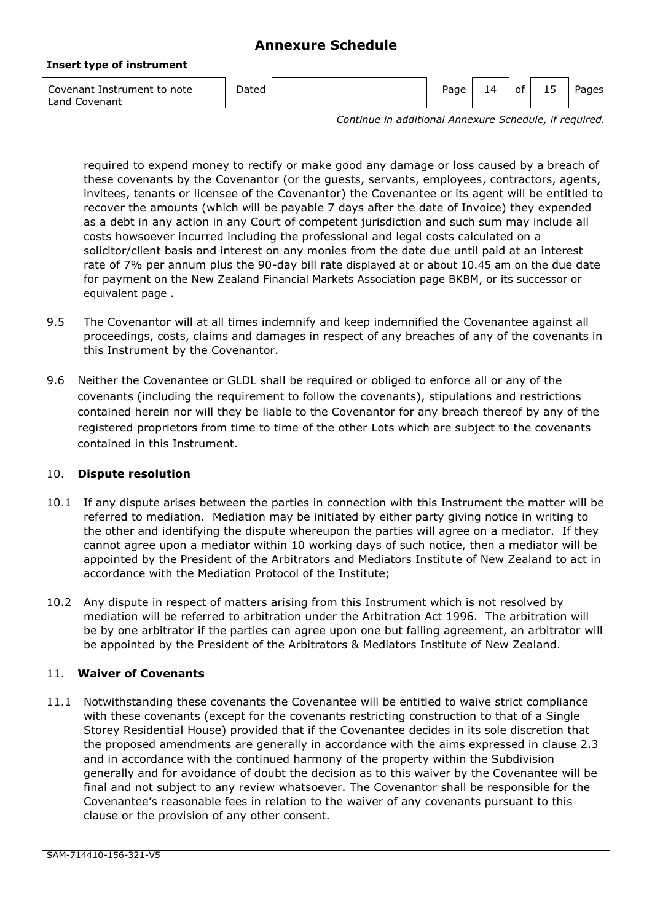#### **Insert type of instrument**

Covenant Instrument to note Land Covenant

Dated **Page 14 of 15 Pages** Page 14 of 15 Pages

*Continue in additional Annexure Schedule, if required.*

required to expend money to rectify or make good any damage or loss caused by a breach of these covenants by the Covenantor (or the guests, servants, employees, contractors, agents, invitees, tenants or licensee of the Covenantor) the Covenantee or its agent will be entitled to recover the amounts (which will be payable 7 days after the date of Invoice) they expended as a debt in any action in any Court of competent jurisdiction and such sum may include all costs howsoever incurred including the professional and legal costs calculated on a solicitor/client basis and interest on any monies from the date due until paid at an interest rate of 7% per annum plus the 90-day bill rate displayed at or about 10.45 am on the due date for payment on the New Zealand Financial Markets Association page BKBM, or its successor or equivalent page .

- 9.5 The Covenantor will at all times indemnify and keep indemnified the Covenantee against all proceedings, costs, claims and damages in respect of any breaches of any of the covenants in this Instrument by the Covenantor.
- 9.6 Neither the Covenantee or GLDL shall be required or obliged to enforce all or any of the covenants (including the requirement to follow the covenants), stipulations and restrictions contained herein nor will they be liable to the Covenantor for any breach thereof by any of the registered proprietors from time to time of the other Lots which are subject to the covenants contained in this Instrument.

# 10. **Dispute resolution**

- 10.1 If any dispute arises between the parties in connection with this Instrument the matter will be referred to mediation. Mediation may be initiated by either party giving notice in writing to the other and identifying the dispute whereupon the parties will agree on a mediator. If they cannot agree upon a mediator within 10 working days of such notice, then a mediator will be appointed by the President of the Arbitrators and Mediators Institute of New Zealand to act in accordance with the Mediation Protocol of the Institute;
- 10.2 Any dispute in respect of matters arising from this Instrument which is not resolved by mediation will be referred to arbitration under the Arbitration Act 1996. The arbitration will be by one arbitrator if the parties can agree upon one but failing agreement, an arbitrator will be appointed by the President of the Arbitrators & Mediators Institute of New Zealand.

# 11. **Waiver of Covenants**

11.1 Notwithstanding these covenants the Covenantee will be entitled to waive strict compliance with these covenants (except for the covenants restricting construction to that of a Single Storey Residential House) provided that if the Covenantee decides in its sole discretion that the proposed amendments are generally in accordance with the aims expressed in clause 2.3 and in accordance with the continued harmony of the property within the Subdivision generally and for avoidance of doubt the decision as to this waiver by the Covenantee will be final and not subject to any review whatsoever. The Covenantor shall be responsible for the Covenantee's reasonable fees in relation to the waiver of any covenants pursuant to this clause or the provision of any other consent.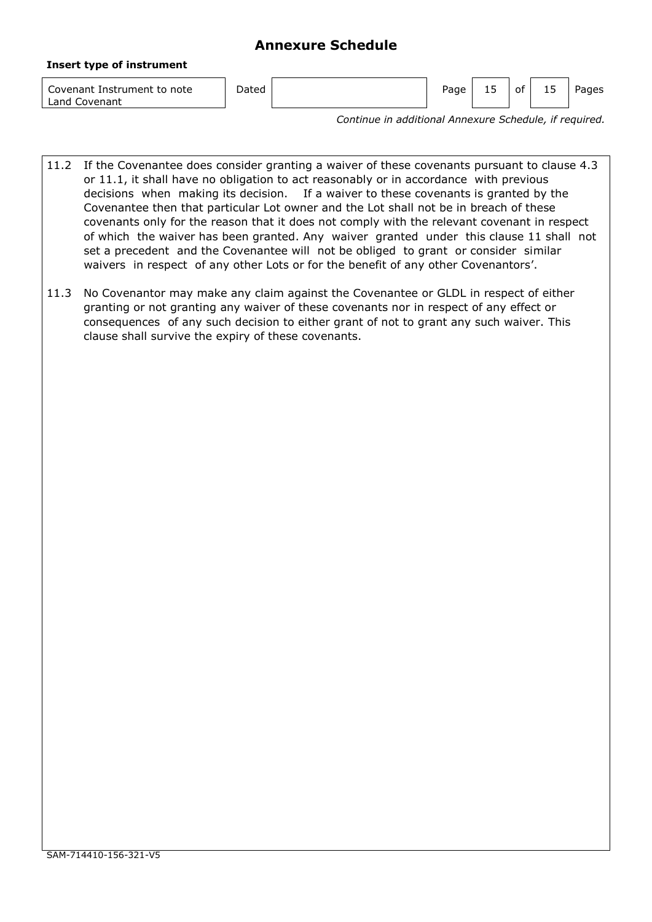|  |  |  | <b>Insert type of instrument</b> |
|--|--|--|----------------------------------|
|--|--|--|----------------------------------|

Covenant Instrument to note Land Covenant

Dated **Page 15** of 15 Pages 15 pages

*Continue in additional Annexure Schedule, if required.*

- 11.2 If the Covenantee does consider granting a waiver of these covenants pursuant to clause 4.3 or 11.1, it shall have no obligation to act reasonably or in accordance with previous decisions when making its decision. If a waiver to these covenants is granted by the Covenantee then that particular Lot owner and the Lot shall not be in breach of these covenants only for the reason that it does not comply with the relevant covenant in respect of which the waiver has been granted. Any waiver granted under this clause 11 shall not set a precedent and the Covenantee will not be obliged to grant or consider similar waivers in respect of any other Lots or for the benefit of any other Covenantors'.
- 11.3 No Covenantor may make any claim against the Covenantee or GLDL in respect of either granting or not granting any waiver of these covenants nor in respect of any effect or consequences of any such decision to either grant of not to grant any such waiver. This clause shall survive the expiry of these covenants.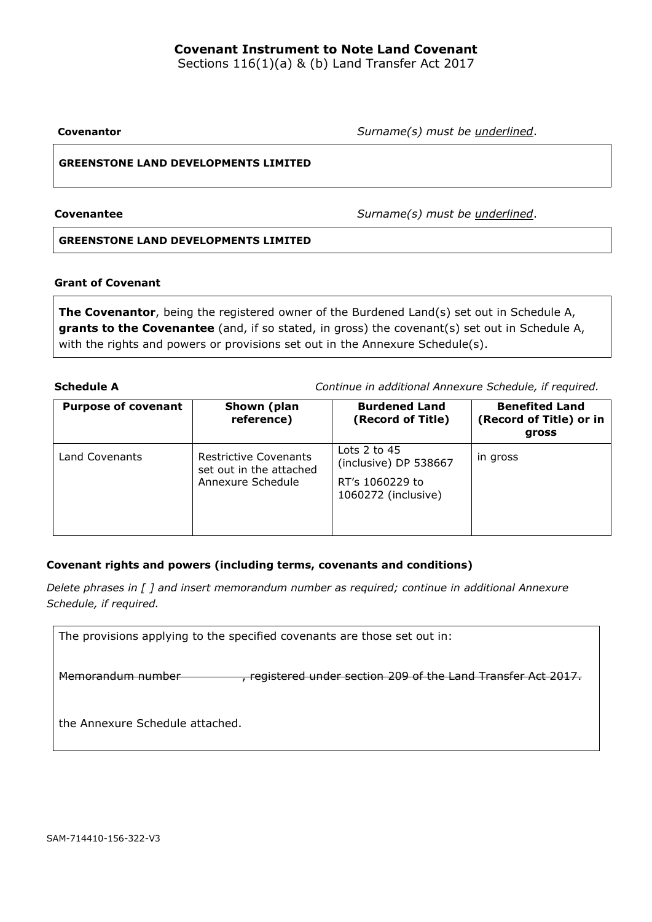# **Covenant Instrument to Note Land Covenant**

Sections 116(1)(a) & (b) Land Transfer Act 2017

**Covenantor** *Surname(s) must be underlined*.

## **GREENSTONE LAND DEVELOPMENTS LIMITED**

**Covenantee** *Surname(s) must be underlined*.

### **GREENSTONE LAND DEVELOPMENTS LIMITED**

## **Grant of Covenant**

**The Covenantor**, being the registered owner of the Burdened Land(s) set out in Schedule A, grants to the Covenantee (and, if so stated, in gross) the covenant(s) set out in Schedule A, with the rights and powers or provisions set out in the Annexure Schedule(s).

**Schedule A** *Continue in additional Annexure Schedule, if required.*

| <b>Purpose of covenant</b> | Shown (plan<br>reference)                                                    | <b>Burdened Land</b><br>(Record of Title)                                           | <b>Benefited Land</b><br>(Record of Title) or in<br>gross |
|----------------------------|------------------------------------------------------------------------------|-------------------------------------------------------------------------------------|-----------------------------------------------------------|
| Land Covenants             | <b>Restrictive Covenants</b><br>set out in the attached<br>Annexure Schedule | Lots $2$ to $45$<br>(inclusive) DP 538667<br>RT's 1060229 to<br>1060272 (inclusive) | in gross                                                  |

## **Covenant rights and powers (including terms, covenants and conditions)**

*Delete phrases in [ ] and insert memorandum number as required; continue in additional Annexure Schedule, if required.*

| The provisions applying to the specified covenants are those set out in:         |  |  |  |  |  |  |
|----------------------------------------------------------------------------------|--|--|--|--|--|--|
| registered under section 209 of the Land Transfer Act 2017.<br>Momorandum numbor |  |  |  |  |  |  |
| the Annexure Schedule attached.                                                  |  |  |  |  |  |  |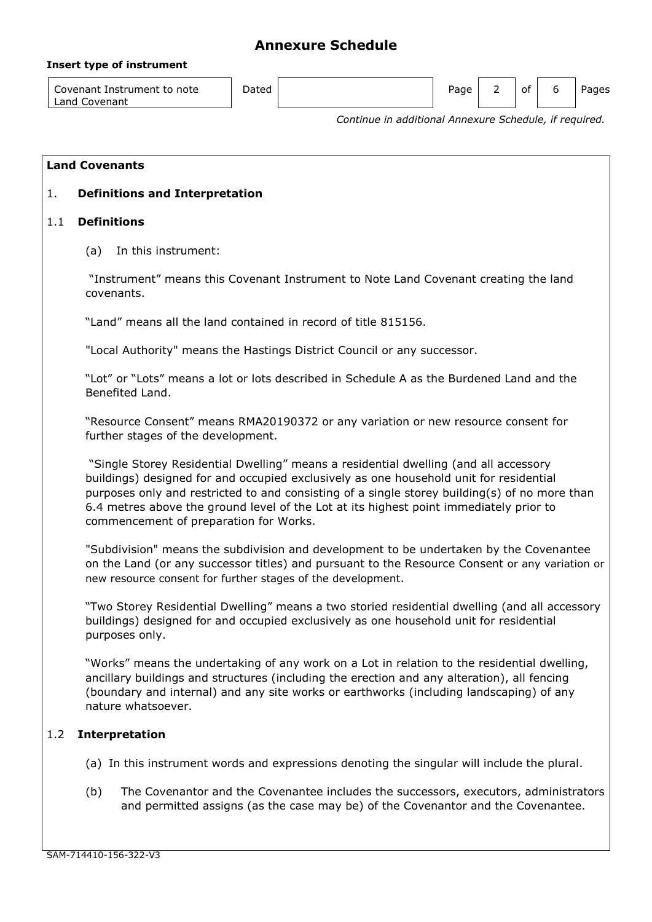### **Insert type of instrument**

Covenant Instrument to note Land Covenant

Dated **Page 2** of 6 Pages 2 of 6 Pages

*Continue in additional Annexure Schedule, if required.*

## **Land Covenants**

## 1. **Definitions and Interpretation**

### 1.1 **Definitions**

(a) In this instrument:

"Instrument" means this Covenant Instrument to Note Land Covenant creating the land covenants.

"Land" means all the land contained in record of title 815156.

"Local Authority" means the Hastings District Council or any successor.

"Lot" or "Lots" means a lot or lots described in Schedule A as the Burdened Land and the Benefited Land.

"Resource Consent" means RMA20190372 or any variation or new resource consent for further stages of the development.

"Single Storey Residential Dwelling" means a residential dwelling (and all accessory buildings) designed for and occupied exclusively as one household unit for residential purposes only and restricted to and consisting of a single storey building(s) of no more than 6.4 metres above the ground level of the Lot at its highest point immediately prior to commencement of preparation for Works.

"Subdivision" means the subdivision and development to be undertaken by the Covenantee on the Land (or any successor titles) and pursuant to the Resource Consent or any variation or new resource consent for further stages of the development.

"Two Storey Residential Dwelling" means a two storied residential dwelling (and all accessory buildings) designed for and occupied exclusively as one household unit for residential purposes only.

"Works" means the undertaking of any work on a Lot in relation to the residential dwelling, ancillary buildings and structures (including the erection and any alteration), all fencing (boundary and internal) and any site works or earthworks (including landscaping) of any nature whatsoever.

## 1.2 **Interpretation**

- (a) In this instrument words and expressions denoting the singular will include the plural.
- (b) The Covenantor and the Covenantee includes the successors, executors, administrators and permitted assigns (as the case may be) of the Covenantor and the Covenantee.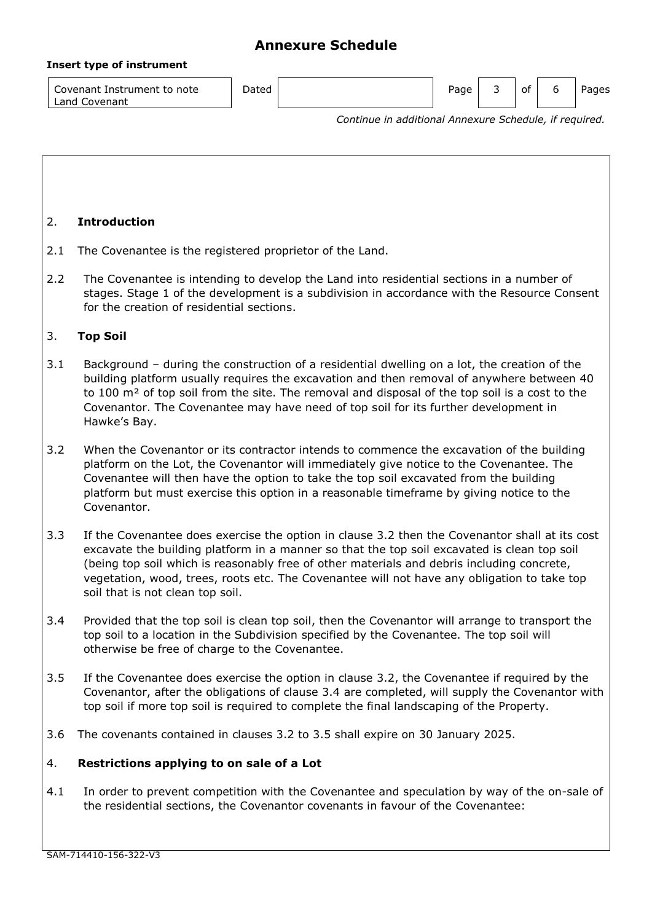### **Insert type of instrument**

Covenant Instrument to note Land Covenant Dated **Page 3** of 6 Pages 1 Page 3 of 6 Pages

*Continue in additional Annexure Schedule, if required.*

# 2. **Introduction**

- 2.1 The Covenantee is the registered proprietor of the Land.
- 2.2 The Covenantee is intending to develop the Land into residential sections in a number of stages. Stage 1 of the development is a subdivision in accordance with the Resource Consent for the creation of residential sections.

# 3. **Top Soil**

- 3.1 Background during the construction of a residential dwelling on a lot, the creation of the building platform usually requires the excavation and then removal of anywhere between 40 to 100 m<sup>2</sup> of top soil from the site. The removal and disposal of the top soil is a cost to the Covenantor. The Covenantee may have need of top soil for its further development in Hawke's Bay.
- 3.2 When the Covenantor or its contractor intends to commence the excavation of the building platform on the Lot, the Covenantor will immediately give notice to the Covenantee. The Covenantee will then have the option to take the top soil excavated from the building platform but must exercise this option in a reasonable timeframe by giving notice to the Covenantor.
- 3.3 If the Covenantee does exercise the option in clause 3.2 then the Covenantor shall at its cost excavate the building platform in a manner so that the top soil excavated is clean top soil (being top soil which is reasonably free of other materials and debris including concrete, vegetation, wood, trees, roots etc. The Covenantee will not have any obligation to take top soil that is not clean top soil.
- 3.4 Provided that the top soil is clean top soil, then the Covenantor will arrange to transport the top soil to a location in the Subdivision specified by the Covenantee. The top soil will otherwise be free of charge to the Covenantee.
- 3.5 If the Covenantee does exercise the option in clause 3.2, the Covenantee if required by the Covenantor, after the obligations of clause 3.4 are completed, will supply the Covenantor with top soil if more top soil is required to complete the final landscaping of the Property.
- 3.6 The covenants contained in clauses 3.2 to 3.5 shall expire on 30 January 2025.

## 4. **Restrictions applying to on sale of a Lot**

4.1 In order to prevent competition with the Covenantee and speculation by way of the on-sale of the residential sections, the Covenantor covenants in favour of the Covenantee: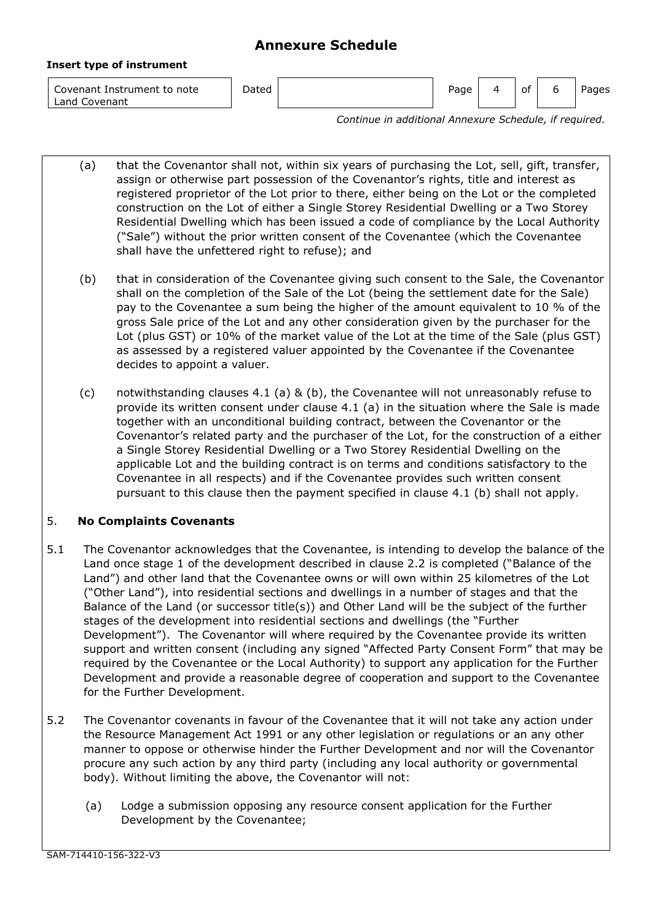#### **Insert type of instrument**

Covenant Instrument to note Land Covenant

| Dated | Page | $\Delta$ | $\overline{\phantom{0}}$<br>οt | ь | <sup>o</sup> ages |
|-------|------|----------|--------------------------------|---|-------------------|
|       |      |          |                                |   |                   |

*Continue in additional Annexure Schedule, if required.*

(a) that the Covenantor shall not, within six years of purchasing the Lot, sell, gift, transfer, assign or otherwise part possession of the Covenantor's rights, title and interest as registered proprietor of the Lot prior to there, either being on the Lot or the completed construction on the Lot of either a Single Storey Residential Dwelling or a Two Storey Residential Dwelling which has been issued a code of compliance by the Local Authority ("Sale") without the prior written consent of the Covenantee (which the Covenantee shall have the unfettered right to refuse); and

- (b) that in consideration of the Covenantee giving such consent to the Sale, the Covenantor shall on the completion of the Sale of the Lot (being the settlement date for the Sale) pay to the Covenantee a sum being the higher of the amount equivalent to 10 % of the gross Sale price of the Lot and any other consideration given by the purchaser for the Lot (plus GST) or 10% of the market value of the Lot at the time of the Sale (plus GST) as assessed by a registered valuer appointed by the Covenantee if the Covenantee decides to appoint a valuer.
- (c) notwithstanding clauses 4.1 (a) & (b), the Covenantee will not unreasonably refuse to provide its written consent under clause 4.1 (a) in the situation where the Sale is made together with an unconditional building contract, between the Covenantor or the Covenantor's related party and the purchaser of the Lot, for the construction of a either a Single Storey Residential Dwelling or a Two Storey Residential Dwelling on the applicable Lot and the building contract is on terms and conditions satisfactory to the Covenantee in all respects) and if the Covenantee provides such written consent pursuant to this clause then the payment specified in clause 4.1 (b) shall not apply.

# 5. **No Complaints Covenants**

- 5.1 The Covenantor acknowledges that the Covenantee, is intending to develop the balance of the Land once stage 1 of the development described in clause 2.2 is completed ("Balance of the Land") and other land that the Covenantee owns or will own within 25 kilometres of the Lot ("Other Land"), into residential sections and dwellings in a number of stages and that the Balance of the Land (or successor title(s)) and Other Land will be the subject of the further stages of the development into residential sections and dwellings (the "Further Development"). The Covenantor will where required by the Covenantee provide its written support and written consent (including any signed "Affected Party Consent Form" that may be required by the Covenantee or the Local Authority) to support any application for the Further Development and provide a reasonable degree of cooperation and support to the Covenantee for the Further Development.
- 5.2 The Covenantor covenants in favour of the Covenantee that it will not take any action under the Resource Management Act 1991 or any other legislation or regulations or an any other manner to oppose or otherwise hinder the Further Development and nor will the Covenantor procure any such action by any third party (including any local authority or governmental body). Without limiting the above, the Covenantor will not:
	- (a) Lodge a submission opposing any resource consent application for the Further Development by the Covenantee;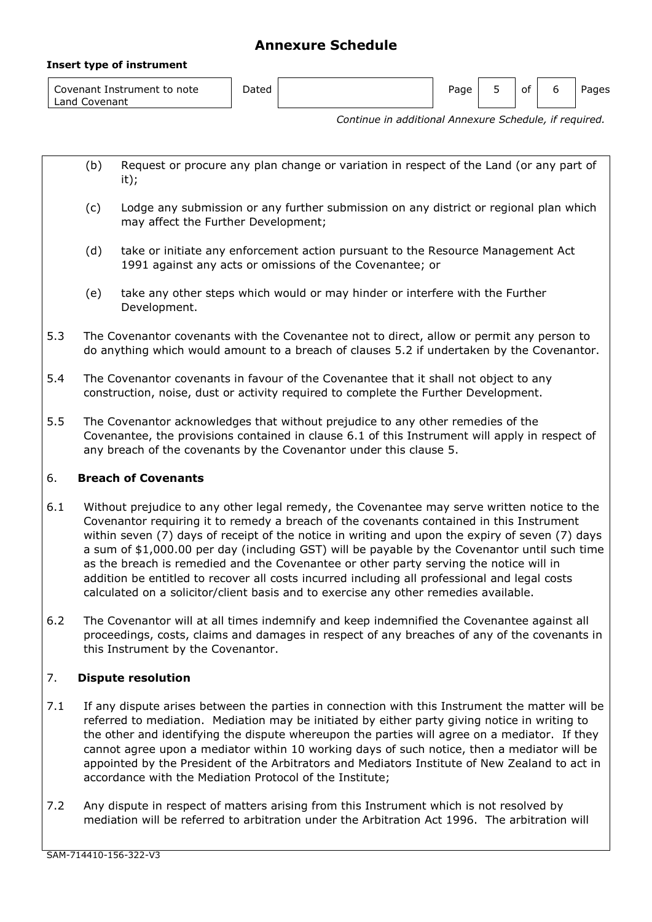#### **Insert type of instrument**

| Covenant Instrument to note<br>Land Covenant | Dated |  | Page |  | 0t |  | Pages |
|----------------------------------------------|-------|--|------|--|----|--|-------|
|----------------------------------------------|-------|--|------|--|----|--|-------|

*Continue in additional Annexure Schedule, if required.*

- (b) Request or procure any plan change or variation in respect of the Land (or any part of it);
- (c) Lodge any submission or any further submission on any district or regional plan which may affect the Further Development;
- (d) take or initiate any enforcement action pursuant to the Resource Management Act 1991 against any acts or omissions of the Covenantee; or
- (e) take any other steps which would or may hinder or interfere with the Further Development.
- 5.3 The Covenantor covenants with the Covenantee not to direct, allow or permit any person to do anything which would amount to a breach of clauses 5.2 if undertaken by the Covenantor.
- 5.4 The Covenantor covenants in favour of the Covenantee that it shall not object to any construction, noise, dust or activity required to complete the Further Development.
- 5.5 The Covenantor acknowledges that without prejudice to any other remedies of the Covenantee, the provisions contained in clause 6.1 of this Instrument will apply in respect of any breach of the covenants by the Covenantor under this clause 5.

## 6. **Breach of Covenants**

- 6.1 Without prejudice to any other legal remedy, the Covenantee may serve written notice to the Covenantor requiring it to remedy a breach of the covenants contained in this Instrument within seven (7) days of receipt of the notice in writing and upon the expiry of seven (7) days a sum of \$1,000.00 per day (including GST) will be payable by the Covenantor until such time as the breach is remedied and the Covenantee or other party serving the notice will in addition be entitled to recover all costs incurred including all professional and legal costs calculated on a solicitor/client basis and to exercise any other remedies available.
- 6.2 The Covenantor will at all times indemnify and keep indemnified the Covenantee against all proceedings, costs, claims and damages in respect of any breaches of any of the covenants in this Instrument by the Covenantor.

## 7. **Dispute resolution**

- 7.1 If any dispute arises between the parties in connection with this Instrument the matter will be referred to mediation. Mediation may be initiated by either party giving notice in writing to the other and identifying the dispute whereupon the parties will agree on a mediator. If they cannot agree upon a mediator within 10 working days of such notice, then a mediator will be appointed by the President of the Arbitrators and Mediators Institute of New Zealand to act in accordance with the Mediation Protocol of the Institute;
- 7.2 Any dispute in respect of matters arising from this Instrument which is not resolved by mediation will be referred to arbitration under the Arbitration Act 1996. The arbitration will